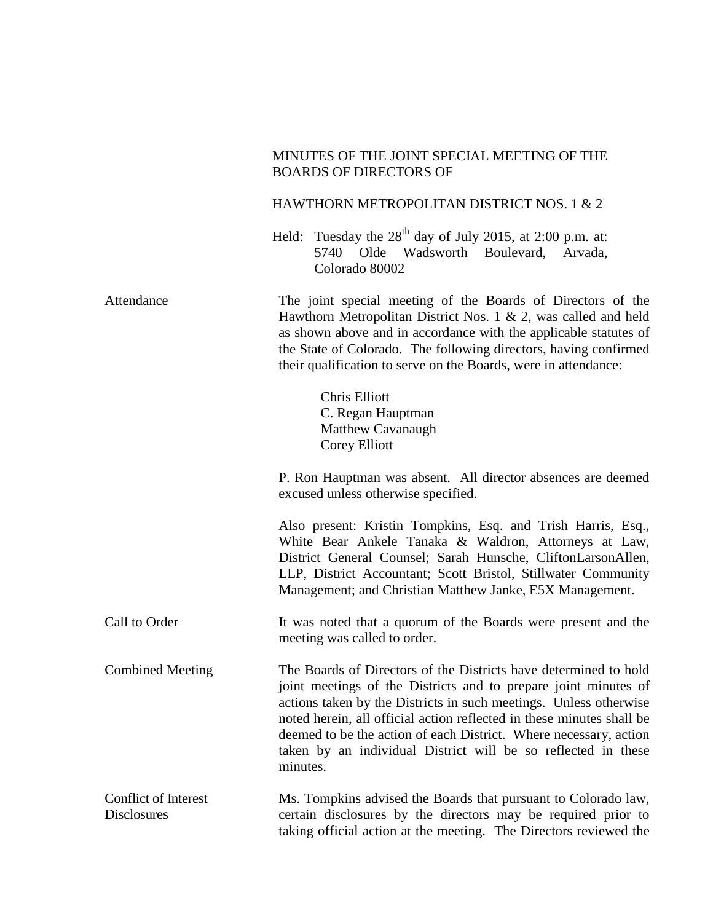## MINUTES OF THE JOINT SPECIAL MEETING OF THE BOARDS OF DIRECTORS OF

## HAWTHORN METROPOLITAN DISTRICT NOS. 1 & 2

Held: Tuesday the  $28<sup>th</sup>$  day of July 2015, at 2:00 p.m. at: 5740 Olde Wadsworth Boulevard, Arvada, Colorado 80002

| Attendance                                        | The joint special meeting of the Boards of Directors of the<br>Hawthorn Metropolitan District Nos. 1 & 2, was called and held<br>as shown above and in accordance with the applicable statutes of<br>the State of Colorado. The following directors, having confirmed<br>their qualification to serve on the Boards, were in attendance:                                                                                            |
|---------------------------------------------------|-------------------------------------------------------------------------------------------------------------------------------------------------------------------------------------------------------------------------------------------------------------------------------------------------------------------------------------------------------------------------------------------------------------------------------------|
|                                                   | <b>Chris Elliott</b><br>C. Regan Hauptman<br>Matthew Cavanaugh<br><b>Corey Elliott</b>                                                                                                                                                                                                                                                                                                                                              |
|                                                   | P. Ron Hauptman was absent. All director absences are deemed<br>excused unless otherwise specified.                                                                                                                                                                                                                                                                                                                                 |
|                                                   | Also present: Kristin Tompkins, Esq. and Trish Harris, Esq.,<br>White Bear Ankele Tanaka & Waldron, Attorneys at Law,<br>District General Counsel; Sarah Hunsche, CliftonLarsonAllen,<br>LLP, District Accountant; Scott Bristol, Stillwater Community<br>Management; and Christian Matthew Janke, E5X Management.                                                                                                                  |
| Call to Order                                     | It was noted that a quorum of the Boards were present and the<br>meeting was called to order.                                                                                                                                                                                                                                                                                                                                       |
| <b>Combined Meeting</b>                           | The Boards of Directors of the Districts have determined to hold<br>joint meetings of the Districts and to prepare joint minutes of<br>actions taken by the Districts in such meetings. Unless otherwise<br>noted herein, all official action reflected in these minutes shall be<br>deemed to be the action of each District. Where necessary, action<br>taken by an individual District will be so reflected in these<br>minutes. |
| <b>Conflict of Interest</b><br><b>Disclosures</b> | Ms. Tompkins advised the Boards that pursuant to Colorado law,<br>certain disclosures by the directors may be required prior to<br>taking official action at the meeting. The Directors reviewed the                                                                                                                                                                                                                                |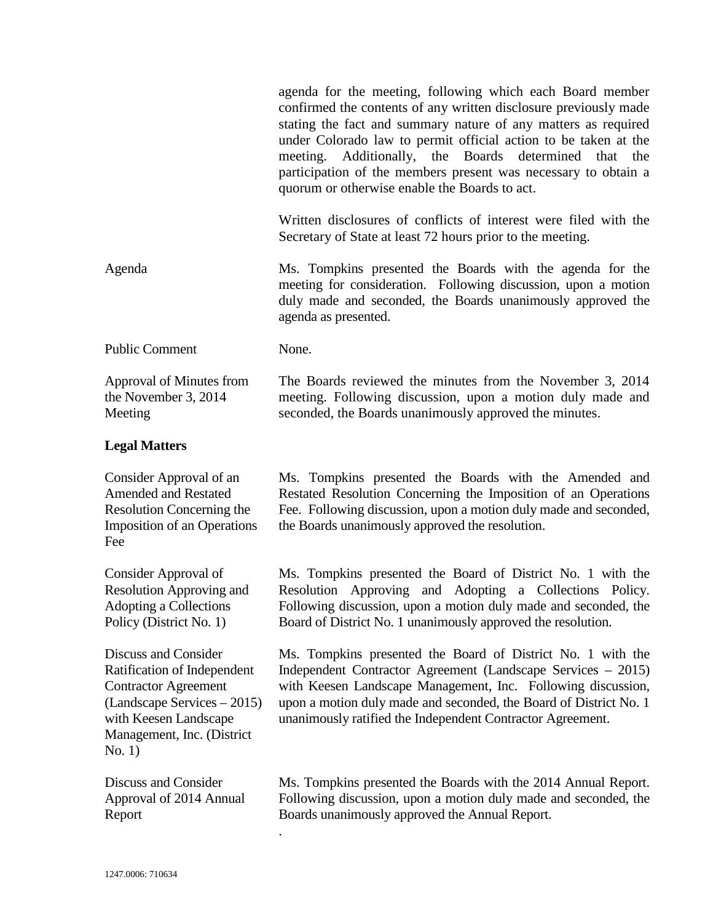|                                                                                                                                                                                    | agenda for the meeting, following which each Board member<br>confirmed the contents of any written disclosure previously made<br>stating the fact and summary nature of any matters as required<br>under Colorado law to permit official action to be taken at the<br>meeting. Additionally, the Boards determined that<br>the<br>participation of the members present was necessary to obtain a<br>quorum or otherwise enable the Boards to act. |
|------------------------------------------------------------------------------------------------------------------------------------------------------------------------------------|---------------------------------------------------------------------------------------------------------------------------------------------------------------------------------------------------------------------------------------------------------------------------------------------------------------------------------------------------------------------------------------------------------------------------------------------------|
|                                                                                                                                                                                    | Written disclosures of conflicts of interest were filed with the<br>Secretary of State at least 72 hours prior to the meeting.                                                                                                                                                                                                                                                                                                                    |
| Agenda                                                                                                                                                                             | Ms. Tompkins presented the Boards with the agenda for the<br>meeting for consideration. Following discussion, upon a motion<br>duly made and seconded, the Boards unanimously approved the<br>agenda as presented.                                                                                                                                                                                                                                |
| <b>Public Comment</b>                                                                                                                                                              | None.                                                                                                                                                                                                                                                                                                                                                                                                                                             |
| Approval of Minutes from<br>the November 3, 2014<br>Meeting                                                                                                                        | The Boards reviewed the minutes from the November 3, 2014<br>meeting. Following discussion, upon a motion duly made and<br>seconded, the Boards unanimously approved the minutes.                                                                                                                                                                                                                                                                 |
| <b>Legal Matters</b>                                                                                                                                                               |                                                                                                                                                                                                                                                                                                                                                                                                                                                   |
| Consider Approval of an<br><b>Amended and Restated</b><br>Resolution Concerning the<br><b>Imposition of an Operations</b><br>Fee                                                   | Ms. Tompkins presented the Boards with the Amended and<br>Restated Resolution Concerning the Imposition of an Operations<br>Fee. Following discussion, upon a motion duly made and seconded,<br>the Boards unanimously approved the resolution.                                                                                                                                                                                                   |
| Consider Approval of<br><b>Resolution Approving and</b><br>Adopting a Collections<br>Policy (District No. 1)                                                                       | Ms. Tompkins presented the Board of District No. 1 with the<br>Resolution Approving and Adopting a Collections Policy.<br>Following discussion, upon a motion duly made and seconded, the<br>Board of District No. 1 unanimously approved the resolution.                                                                                                                                                                                         |
| Discuss and Consider<br>Ratification of Independent<br><b>Contractor Agreement</b><br>(Landscape Services – 2015)<br>with Keesen Landscape<br>Management, Inc. (District<br>No. 1) | Ms. Tompkins presented the Board of District No. 1 with the<br>Independent Contractor Agreement (Landscape Services – 2015)<br>with Keesen Landscape Management, Inc. Following discussion,<br>upon a motion duly made and seconded, the Board of District No. 1<br>unanimously ratified the Independent Contractor Agreement.                                                                                                                    |
| Discuss and Consider<br>Approval of 2014 Annual<br>Report                                                                                                                          | Ms. Tompkins presented the Boards with the 2014 Annual Report.<br>Following discussion, upon a motion duly made and seconded, the<br>Boards unanimously approved the Annual Report.                                                                                                                                                                                                                                                               |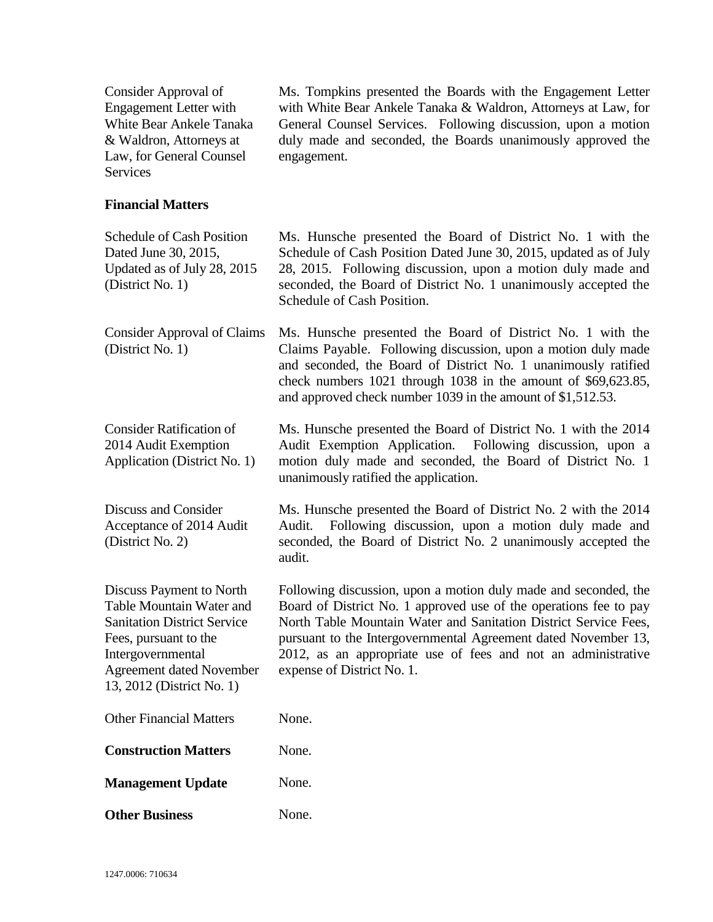Consider Approval of Engagement Letter with White Bear Ankele Tanaka & Waldron, Attorneys at Law, for General Counsel **Services** Ms. Tompkins presented the Boards with the Engagement Letter with White Bear Ankele Tanaka & Waldron, Attorneys at Law, for General Counsel Services. Following discussion, upon a motion duly made and seconded, the Boards unanimously approved the engagement. **Financial Matters** Schedule of Cash Position Dated June 30, 2015, Updated as of July 28, 2015 (District No. 1) Ms. Hunsche presented the Board of District No. 1 with the Schedule of Cash Position Dated June 30, 2015, updated as of July 28, 2015. Following discussion, upon a motion duly made and seconded, the Board of District No. 1 unanimously accepted the Schedule of Cash Position. Consider Approval of Claims (District No. 1) Ms. Hunsche presented the Board of District No. 1 with the Claims Payable. Following discussion, upon a motion duly made and seconded, the Board of District No. 1 unanimously ratified check numbers 1021 through 1038 in the amount of \$69,623.85, and approved check number 1039 in the amount of \$1,512.53. Consider Ratification of 2014 Audit Exemption Application (District No. 1) Ms. Hunsche presented the Board of District No. 1 with the 2014 Audit Exemption Application. Following discussion, upon a motion duly made and seconded, the Board of District No. 1 unanimously ratified the application. Discuss and Consider Acceptance of 2014 Audit (District No. 2) Ms. Hunsche presented the Board of District No. 2 with the 2014 Audit. Following discussion, upon a motion duly made and seconded, the Board of District No. 2 unanimously accepted the audit. Discuss Payment to North Table Mountain Water and Sanitation District Service Fees, pursuant to the Intergovernmental Agreement dated November 13, 2012 (District No. 1) Following discussion, upon a motion duly made and seconded, the Board of District No. 1 approved use of the operations fee to pay North Table Mountain Water and Sanitation District Service Fees, pursuant to the Intergovernmental Agreement dated November 13, 2012, as an appropriate use of fees and not an administrative expense of District No. 1. Other Financial Matters None. **Construction Matters** None. **Management Update** None. **Other Business** None.